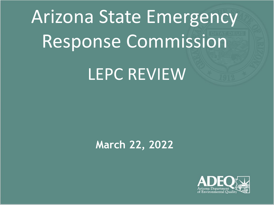# Arizona State Emergency Response Commission LEPC REVIEW

### **March 22, 2022**

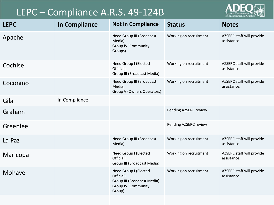#### LEPC – Compliance A.R.S. 49-124B



| <b>LEPC</b> | <b>In Compliance</b> | <b>Not in Compliance</b>                                                                                  | <b>Status</b>          | <b>Notes</b>                             |
|-------------|----------------------|-----------------------------------------------------------------------------------------------------------|------------------------|------------------------------------------|
| Apache      |                      | <b>Need Group III (Broadcast</b><br>Media)<br><b>Group IV (Community</b><br>Groups)                       | Working on recruitment | AZSERC staff will provide<br>assistance. |
| Cochise     |                      | Need Group I (Elected<br>Official)<br>Group III (Broadcast Media)                                         | Working on recruitment | AZSERC staff will provide<br>assistance. |
| Coconino    |                      | Need Group III (Broadcast<br>Media)<br>Group V (Owners Operators)                                         | Working on recruitment | AZSERC staff will provide<br>assistance. |
| Gila        | In Compliance        |                                                                                                           |                        |                                          |
| Graham      |                      |                                                                                                           | Pending AZSERC review  |                                          |
| Greenlee    |                      |                                                                                                           | Pending AZSERC review  |                                          |
| La Paz      |                      | Need Group III (Broadcast<br>Media)                                                                       | Working on recruitment | AZSERC staff will provide<br>assistance. |
| Maricopa    |                      | Need Group I (Elected<br>Official)<br>Group III (Broadcast Media)                                         | Working on recruitment | AZSERC staff will provide<br>assistance. |
| Mohave      |                      | Need Group I (Elected<br>Official)<br>Group III (Broadcast Media)<br><b>Group IV (Community</b><br>Group) | Working on recruitment | AZSERC staff will provide<br>assistance. |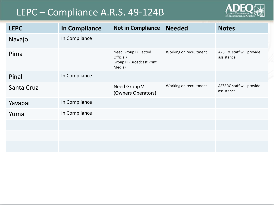#### LEPC – Compliance A.R.S. 49-124B



| <b>LEPC</b> | <b>In Compliance</b> | <b>Not in Compliance</b>                                                          | <b>Needed</b>          | <b>Notes</b>                             |
|-------------|----------------------|-----------------------------------------------------------------------------------|------------------------|------------------------------------------|
| Navajo      | In Compliance        |                                                                                   |                        |                                          |
| Pima        |                      | Need Group I (Elected<br>Official)<br><b>Group III (Broadcast Print</b><br>Media) | Working on recruitment | AZSERC staff will provide<br>assistance. |
| Pinal       | In Compliance        |                                                                                   |                        |                                          |
| Santa Cruz  |                      | Need Group V<br>(Owners Operators)                                                | Working on recruitment | AZSERC staff will provide<br>assistance. |
| Yavapai     | In Compliance        |                                                                                   |                        |                                          |
| Yuma        | In Compliance        |                                                                                   |                        |                                          |
|             |                      |                                                                                   |                        |                                          |
|             |                      |                                                                                   |                        |                                          |
|             |                      |                                                                                   |                        |                                          |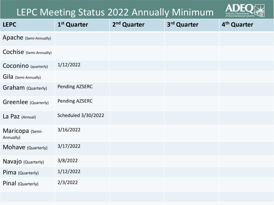#### LEPC Meeting Status 2022 Annually Minimum



| <b>LEPC</b>                  | 1 <sup>st</sup> Quarter    | 2 <sup>nd</sup> Quarter | 3rd Quarter | 4 <sup>th</sup> Quarter |
|------------------------------|----------------------------|-------------------------|-------------|-------------------------|
| Apache (Semi-Annually)       |                            |                         |             |                         |
| Cochise (Semi-Annually)      |                            |                         |             |                         |
| Coconino (quarterly)         | 1/12/2022                  |                         |             |                         |
| Gila (Semi-Annually)         |                            |                         |             |                         |
| Graham (Quarterly)           | Pending AZSERC             |                         |             |                         |
| Greenlee (Quarterly)         | Pending AZSERC             |                         |             |                         |
| La Paz (Annual)              | <b>Scheduled 3/30/2022</b> |                         |             |                         |
| Maricopa (Semi-<br>Annually) | 3/16/2022                  |                         |             |                         |
| Mohave (Quarterly)           | 3/17/2022                  |                         |             |                         |
| Navajo (Quarterly)           | 3/8/2022                   |                         |             |                         |
| Pima (Quarterly)             | 1/12/2022                  |                         |             |                         |
| Pinal (Quarterly)            | 2/3/2022                   |                         |             |                         |
|                              |                            |                         |             |                         |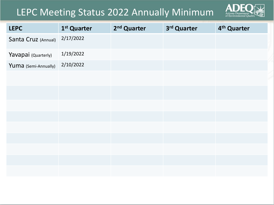#### LEPC Meeting Status 2022 Annually Minimum



| <b>LEPC</b>          | 1 <sup>st</sup> Quarter | 2 <sup>nd</sup> Quarter | 3rd Quarter | 4 <sup>th</sup> Quarter |
|----------------------|-------------------------|-------------------------|-------------|-------------------------|
| Santa Cruz (Annual)  | 2/17/2022               |                         |             |                         |
| Yavapai (Quarterly)  | 1/19/2022               |                         |             |                         |
| Yuma (Semi-Annually) | 2/10/2022               |                         |             |                         |
|                      |                         |                         |             |                         |
|                      |                         |                         |             |                         |
|                      |                         |                         |             |                         |
|                      |                         |                         |             |                         |
|                      |                         |                         |             |                         |
|                      |                         |                         |             |                         |
|                      |                         |                         |             |                         |
|                      |                         |                         |             |                         |
|                      |                         |                         |             |                         |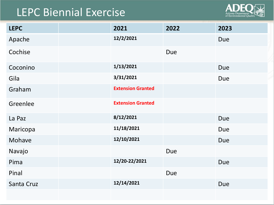## LEPC Biennial Exercise



| <b>LEPC</b> | 2021                     | 2022       | 2023       |
|-------------|--------------------------|------------|------------|
| Apache      | 12/2/2021                |            | <b>Due</b> |
| Cochise     |                          | <b>Due</b> |            |
| Coconino    | 1/13/2021                |            | <b>Due</b> |
| Gila        | 3/31/2021                |            | <b>Due</b> |
| Graham      | <b>Extension Granted</b> |            |            |
| Greenlee    | <b>Extension Granted</b> |            |            |
| La Paz      | 8/12/2021                |            | <b>Due</b> |
| Maricopa    | 11/18/2021               |            | Due        |
| Mohave      | 12/10/2021               |            | <b>Due</b> |
| Navajo      |                          | <b>Due</b> |            |
| Pima        | 12/20-22/2021            |            | <b>Due</b> |
| Pinal       |                          | <b>Due</b> |            |
| Santa Cruz  | 12/14/2021               |            | Due        |